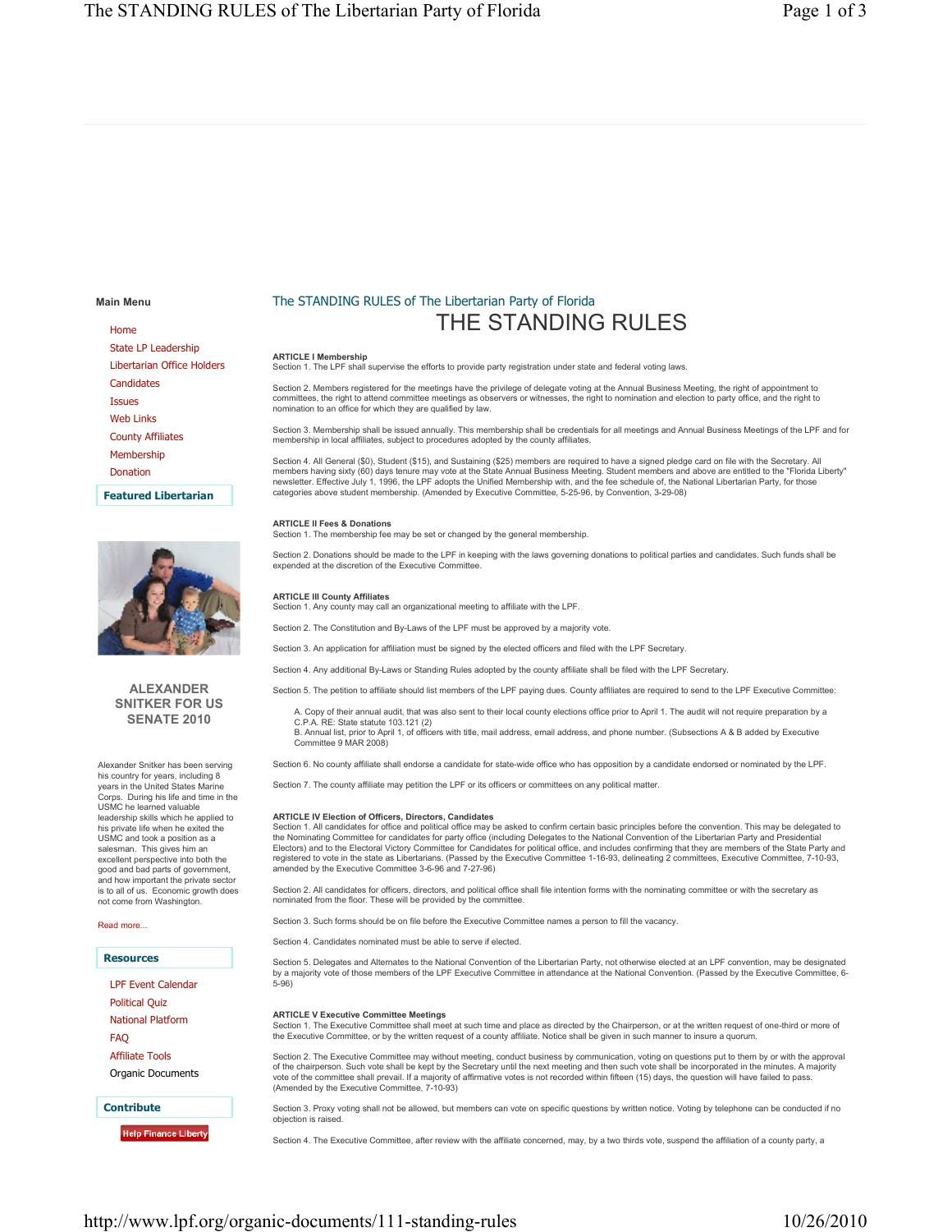**Main Menu**

Home State LP Leadership Libertarian Office Holders **Candidates** Issues Web Links County Affiliates Membership Donation

**Featured Libertarian**



# **ALEXANDER SNITKER FOR US SENATE 2010**

Alexander Snitker has been serving his country for years, including 8 years in the United States Marine Corps. During his life and time in the USMC he learned valuable leadership skills which he applied to his private life when he exited the USMC and took a position as a salesman. This gives him an excellent perspective into both the good and bad parts of government, and how important the private sector is to all of us. Economic growth does not come from Washington.

Read more...

**Resources**

LPF Event Calendar Political Quiz National Platform

FAQ

Affiliate Tools

Organic Documents

**Contribute**

**Help Finance Liberty** 

# The STANDING RULES of The Libertarian Party of Florida THE STANDING RULES

# **ARTICLE I Membership**

Section 1. The LPF shall supervise the efforts to provide party registration under state and federal voting laws.

Section 2. Members registered for the meetings have the privilege of delegate voting at the Annual Business Meeting, the right of appointment to committees, the right to attend committee meetings as observers or witnesses, the right to nomination and election to party office, and the right to nomination to an office for which they are qualified by law.

Section 3. Membership shall be issued annually. This membership shall be credentials for all meetings and Annual Business Meetings of the LPF and for<br>membership in local affiliates, subject to procedures adopted by the cou

Section 4. All General (\$0), Student (\$15), and Sustaining (\$25) members are required to have a signed pledge card on file with the Secretary. All members having sixty (60) days tenure may vote at the State Annual Business Meeting. Student members and above are entitled to the "Florida Liberty"<br>newsletter. Effective July 1, 1996, the LPF adopts the Unified Membership categories above student membership. (Amended by Executive Committee, 5-25-96, by Convention, 3-29-08)

### **ARTICLE II Fees & Donations**

SECTIVE IN THE CONDITIONS.<br>Section 1. The membership fee may be set or changed by the general membership.

Section 2. Donations should be made to the LPF in keeping with the laws governing donations to political parties and candidates. Such funds shall be expended at the discretion of the Executive Committee.

#### **ARTICLE III County Affiliates**

Section 1. Any county may call an organizational meeting to affiliate with the LPF.

Section 2. The Constitution and By-Laws of the LPF must be approved by a majority vote

Section 3. An application for affiliation must be signed by the elected officers and filed with the LPF Secretary.

Section 4. Any additional By-Laws or Standing Rules adopted by the county affiliate shall be filed with the LPF Secretary.

Section 5. The petition to affiliate should list members of the LPF paying dues. County affiliates are required to send to the LPF Executive Committee:

A. Copy of their annual audit, that was also sent to their local county elections office prior to April 1. The audit will not require preparation by a C.P.A. RE: State statute 103.121 (2)

B. Annual list, prior to April 1, of officers with title, mail address, email address, and phone number. (Subsections A & B added by Executive Committee 9 MAR 2008)

Section 6. No county affiliate shall endorse a candidate for state-wide office who has opposition by a candidate endorsed or nominated by the LPF.

Section 7. The county affiliate may petition the LPF or its officers or committees on any political matter.

#### **ARTICLE IV Election of Officers, Directors, Candidates**

Section 1. All candidates for office and political office may be asked to confirm certain basic principles before the convention. This may be delegated to<br>the Nominating Committee for candidates for party office (including registered to vote in the state as Libertarians. (Passed by the Executive Committee 1-16-93, delineating 2 committees, Executive Committee, 7-10-93, amended by the Executive Committee 3-6-96 and 7-27-96)

Section 2. All candidates for officers, directors, and political office shall file intention forms with the nominating committee or with the secretary as<br>nominated from the floor. These will be provided by the committee.

Section 3. Such forms should be on file before the Executive Committee names a person to fill the vacancy.

Section 4. Candidates nominated must be able to serve if elected.

Section 5. Delegates and Alternates to the National Convention of the Libertarian Party, not otherwise elected at an LPF convention, may be designated by a majority vote of those members of the LPF Executive Committee in attendance at the National Convention. (Passed by the Executive Committee, 6- 5-96)

#### **ARTICLE V Executive Committee Meetings**

Section 1. The Executive Committee shall meet at such time and place as directed by the Chairperson, or at the written request of one-third or more of the Executive Committee, or by the written request of a county affiliate. Notice shall be given in such manner to insure a quorum.

Section 2. The Executive Committee may without meeting, conduct business by communication, voting on questions put to them by or with the approval of the chairperson. Such vote shall be kept by the Secretary until the next meeting and then such vote shall be incorporated in the minutes. A majority<br>vote of the committee shall prevail. If a majority of affirmative vote (Amended by the Executive Committee, 7-10-93)

Section 3. Proxy voting shall not be allowed, but members can vote on specific questions by written notice. Voting by telephone can be conducted if no objection is raised.

Section 4. The Executive Committee, after review with the affiliate concerned, may, by a two thirds vote, suspend the affiliation of a county party, a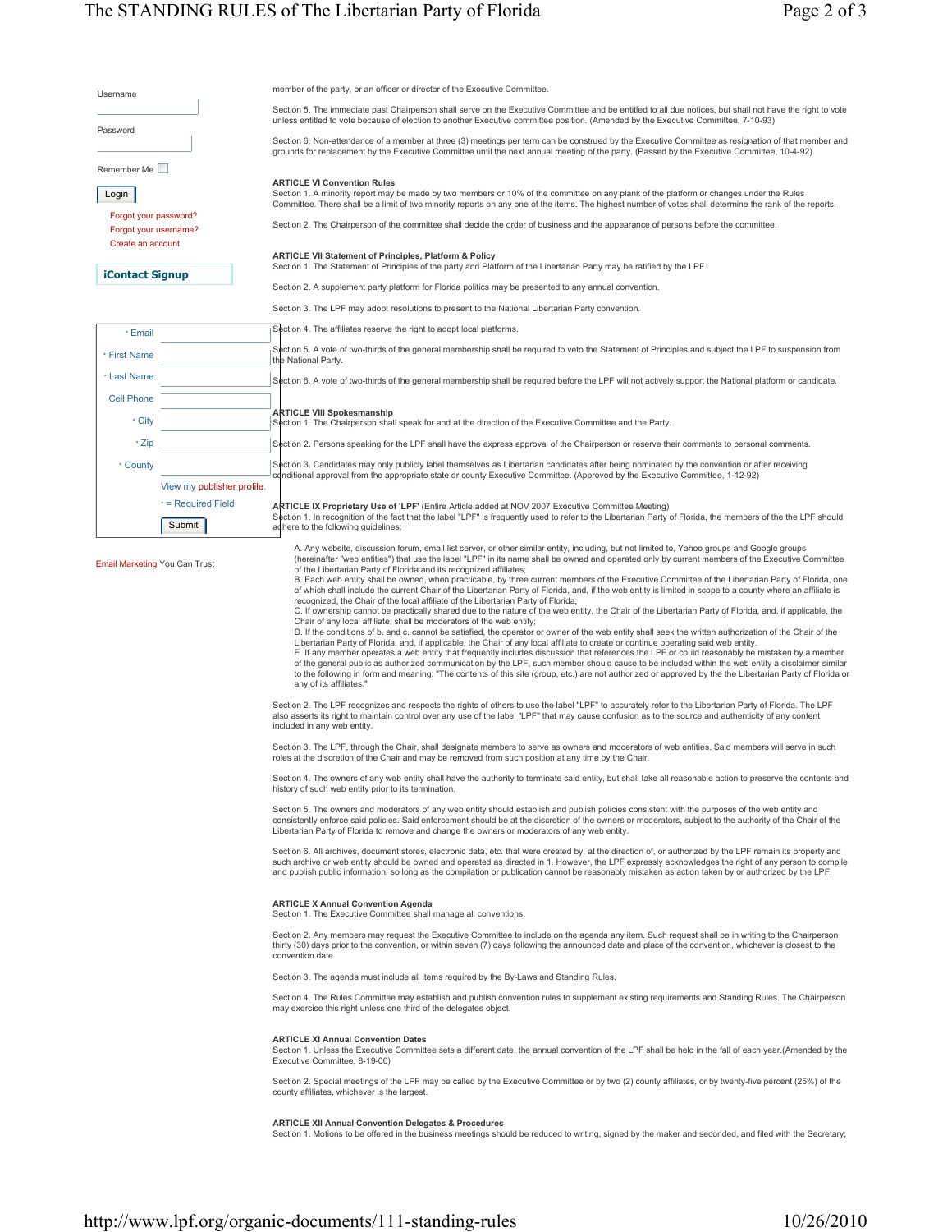| Username                                                            |                              | member of the party, or an officer or director of the Executive Committee.                                                                                                                                                                                                                                                                                                                                                                                                                                                                                                                                                                                                                                                                                                                                                                                                                                                                                                                                                                                                                                                                                                                                                                                                                                                                                                                                                                                                                                                                                                                                                                                                                                                                                                                                                                                                                                                                                                                                                                                                                                                                                                                                                                                                                                              |
|---------------------------------------------------------------------|------------------------------|-------------------------------------------------------------------------------------------------------------------------------------------------------------------------------------------------------------------------------------------------------------------------------------------------------------------------------------------------------------------------------------------------------------------------------------------------------------------------------------------------------------------------------------------------------------------------------------------------------------------------------------------------------------------------------------------------------------------------------------------------------------------------------------------------------------------------------------------------------------------------------------------------------------------------------------------------------------------------------------------------------------------------------------------------------------------------------------------------------------------------------------------------------------------------------------------------------------------------------------------------------------------------------------------------------------------------------------------------------------------------------------------------------------------------------------------------------------------------------------------------------------------------------------------------------------------------------------------------------------------------------------------------------------------------------------------------------------------------------------------------------------------------------------------------------------------------------------------------------------------------------------------------------------------------------------------------------------------------------------------------------------------------------------------------------------------------------------------------------------------------------------------------------------------------------------------------------------------------------------------------------------------------------------------------------------------------|
|                                                                     |                              | Section 5. The immediate past Chairperson shall serve on the Executive Committee and be entitled to all due notices, but shall not have the right to vote<br>unless entitled to vote because of election to another Executive committee position. (Amended by the Executive Committee, 7-10-93)                                                                                                                                                                                                                                                                                                                                                                                                                                                                                                                                                                                                                                                                                                                                                                                                                                                                                                                                                                                                                                                                                                                                                                                                                                                                                                                                                                                                                                                                                                                                                                                                                                                                                                                                                                                                                                                                                                                                                                                                                         |
| Password                                                            |                              | Section 6. Non-attendance of a member at three (3) meetings per term can be construed by the Executive Committee as resignation of that member and<br>grounds for replacement by the Executive Committee until the next annual meeting of the party. (Passed by the Executive Committee, 10-4-92)                                                                                                                                                                                                                                                                                                                                                                                                                                                                                                                                                                                                                                                                                                                                                                                                                                                                                                                                                                                                                                                                                                                                                                                                                                                                                                                                                                                                                                                                                                                                                                                                                                                                                                                                                                                                                                                                                                                                                                                                                       |
| Remember Me                                                         |                              |                                                                                                                                                                                                                                                                                                                                                                                                                                                                                                                                                                                                                                                                                                                                                                                                                                                                                                                                                                                                                                                                                                                                                                                                                                                                                                                                                                                                                                                                                                                                                                                                                                                                                                                                                                                                                                                                                                                                                                                                                                                                                                                                                                                                                                                                                                                         |
| Login                                                               |                              | <b>ARTICLE VI Convention Rules</b><br>Section 1. A minority report may be made by two members or 10% of the committee on any plank of the platform or changes under the Rules<br>Committee. There shall be a limit of two minority reports on any one of the items. The highest number of votes shall determine the rank of the reports.                                                                                                                                                                                                                                                                                                                                                                                                                                                                                                                                                                                                                                                                                                                                                                                                                                                                                                                                                                                                                                                                                                                                                                                                                                                                                                                                                                                                                                                                                                                                                                                                                                                                                                                                                                                                                                                                                                                                                                                |
| Forgot your password?<br>Forgot your username?<br>Create an account |                              | Section 2. The Chairperson of the committee shall decide the order of business and the appearance of persons before the committee.                                                                                                                                                                                                                                                                                                                                                                                                                                                                                                                                                                                                                                                                                                                                                                                                                                                                                                                                                                                                                                                                                                                                                                                                                                                                                                                                                                                                                                                                                                                                                                                                                                                                                                                                                                                                                                                                                                                                                                                                                                                                                                                                                                                      |
| iContact Signup                                                     |                              | <b>ARTICLE VII Statement of Principles, Platform &amp; Policy</b><br>Section 1. The Statement of Principles of the party and Platform of the Libertarian Party may be ratified by the LPF.                                                                                                                                                                                                                                                                                                                                                                                                                                                                                                                                                                                                                                                                                                                                                                                                                                                                                                                                                                                                                                                                                                                                                                                                                                                                                                                                                                                                                                                                                                                                                                                                                                                                                                                                                                                                                                                                                                                                                                                                                                                                                                                              |
|                                                                     |                              | Section 2. A supplement party platform for Florida politics may be presented to any annual convention.                                                                                                                                                                                                                                                                                                                                                                                                                                                                                                                                                                                                                                                                                                                                                                                                                                                                                                                                                                                                                                                                                                                                                                                                                                                                                                                                                                                                                                                                                                                                                                                                                                                                                                                                                                                                                                                                                                                                                                                                                                                                                                                                                                                                                  |
|                                                                     |                              | Section 3. The LPF may adopt resolutions to present to the National Libertarian Party convention.                                                                                                                                                                                                                                                                                                                                                                                                                                                                                                                                                                                                                                                                                                                                                                                                                                                                                                                                                                                                                                                                                                                                                                                                                                                                                                                                                                                                                                                                                                                                                                                                                                                                                                                                                                                                                                                                                                                                                                                                                                                                                                                                                                                                                       |
| * Email                                                             |                              | Section 4. The affiliates reserve the right to adopt local platforms.                                                                                                                                                                                                                                                                                                                                                                                                                                                                                                                                                                                                                                                                                                                                                                                                                                                                                                                                                                                                                                                                                                                                                                                                                                                                                                                                                                                                                                                                                                                                                                                                                                                                                                                                                                                                                                                                                                                                                                                                                                                                                                                                                                                                                                                   |
| * First Name                                                        |                              | Section 5. A vote of two-thirds of the general membership shall be required to veto the Statement of Principles and subject the LPF to suspension from<br>the National Party.                                                                                                                                                                                                                                                                                                                                                                                                                                                                                                                                                                                                                                                                                                                                                                                                                                                                                                                                                                                                                                                                                                                                                                                                                                                                                                                                                                                                                                                                                                                                                                                                                                                                                                                                                                                                                                                                                                                                                                                                                                                                                                                                           |
| * Last Name                                                         |                              | Section 6. A vote of two-thirds of the general membership shall be required before the LPF will not actively support the National platform or candidate.                                                                                                                                                                                                                                                                                                                                                                                                                                                                                                                                                                                                                                                                                                                                                                                                                                                                                                                                                                                                                                                                                                                                                                                                                                                                                                                                                                                                                                                                                                                                                                                                                                                                                                                                                                                                                                                                                                                                                                                                                                                                                                                                                                |
| <b>Cell Phone</b>                                                   |                              |                                                                                                                                                                                                                                                                                                                                                                                                                                                                                                                                                                                                                                                                                                                                                                                                                                                                                                                                                                                                                                                                                                                                                                                                                                                                                                                                                                                                                                                                                                                                                                                                                                                                                                                                                                                                                                                                                                                                                                                                                                                                                                                                                                                                                                                                                                                         |
| * City                                                              |                              | <b>ARTICLE VIII Spokesmanship</b><br>Section 1. The Chairperson shall speak for and at the direction of the Executive Committee and the Party.                                                                                                                                                                                                                                                                                                                                                                                                                                                                                                                                                                                                                                                                                                                                                                                                                                                                                                                                                                                                                                                                                                                                                                                                                                                                                                                                                                                                                                                                                                                                                                                                                                                                                                                                                                                                                                                                                                                                                                                                                                                                                                                                                                          |
| * Zip                                                               |                              | Section 2. Persons speaking for the LPF shall have the express approval of the Chairperson or reserve their comments to personal comments.                                                                                                                                                                                                                                                                                                                                                                                                                                                                                                                                                                                                                                                                                                                                                                                                                                                                                                                                                                                                                                                                                                                                                                                                                                                                                                                                                                                                                                                                                                                                                                                                                                                                                                                                                                                                                                                                                                                                                                                                                                                                                                                                                                              |
| * County                                                            |                              | Section 3. Candidates may only publicly label themselves as Libertarian candidates after being nominated by the convention or after receiving<br>conditional approval from the appropriate state or county Executive Committee. (Approved by the Executive Committee, 1-12-92)                                                                                                                                                                                                                                                                                                                                                                                                                                                                                                                                                                                                                                                                                                                                                                                                                                                                                                                                                                                                                                                                                                                                                                                                                                                                                                                                                                                                                                                                                                                                                                                                                                                                                                                                                                                                                                                                                                                                                                                                                                          |
|                                                                     | View my publisher profile.   |                                                                                                                                                                                                                                                                                                                                                                                                                                                                                                                                                                                                                                                                                                                                                                                                                                                                                                                                                                                                                                                                                                                                                                                                                                                                                                                                                                                                                                                                                                                                                                                                                                                                                                                                                                                                                                                                                                                                                                                                                                                                                                                                                                                                                                                                                                                         |
|                                                                     | * = Required Field<br>Submit | ARTICLE IX Proprietary Use of 'LPF' (Entire Article added at NOV 2007 Executive Committee Meeting)<br>Section 1. In recognition of the fact that the label "LPF" is frequently used to refer to the Libertarian Party of Florida, the members of the the LPF should<br>adhere to the following guidelines:                                                                                                                                                                                                                                                                                                                                                                                                                                                                                                                                                                                                                                                                                                                                                                                                                                                                                                                                                                                                                                                                                                                                                                                                                                                                                                                                                                                                                                                                                                                                                                                                                                                                                                                                                                                                                                                                                                                                                                                                              |
| <b>Email Marketing You Can Trust</b>                                |                              | A. Any website, discussion forum, email list server, or other similar entity, including, but not limited to, Yahoo groups and Google groups<br>(hereinafter "web entities") that use the label "LPF" in its name shall be owned and operated only by current members of the Executive Committee<br>of the Libertarian Party of Florida and its recognized affiliates;<br>B. Each web entity shall be owned, when practicable, by three current members of the Executive Committee of the Libertarian Party of Florida, one<br>of which shall include the current Chair of the Libertarian Party of Florida, and, if the web entity is limited in scope to a county where an affiliate is<br>recognized, the Chair of the local affiliate of the Libertarian Party of Florida;<br>C. If ownership cannot be practically shared due to the nature of the web entity, the Chair of the Libertarian Party of Florida, and, if applicable, the<br>Chair of any local affiliate, shall be moderators of the web entity;<br>D. If the conditions of b. and c. cannot be satisfied, the operator or owner of the web entity shall seek the written authorization of the Chair of the<br>Libertarian Party of Florida, and, if applicable, the Chair of any local affiliate to create or continue operating said web entity.<br>E. If any member operates a web entity that frequently includes discussion that references the LPF or could reasonably be mistaken by a member<br>of the general public as authorized communication by the LPF, such member should cause to be included within the web entity a disclaimer similar<br>to the following in form and meaning: "The contents of this site (group, etc.) are not authorized or approved by the the Libertarian Party of Florida or<br>any of its affiliates."<br>Section 2. The LPF recognizes and respects the rights of others to use the label "LPF" to accurately refer to the Libertarian Party of Florida. The LPF<br>also asserts its right to maintain control over any use of the label "LPF" that may cause confusion as to the source and authenticity of any content<br>included in any web entity.<br>Section 3. The LPF, through the Chair, shall designate members to serve as owners and moderators of web entities. Said members will serve in such |
|                                                                     |                              | roles at the discretion of the Chair and may be removed from such position at any time by the Chair.<br>Section 4. The owners of any web entity shall have the authority to terminate said entity, but shall take all reasonable action to preserve the contents and<br>history of such web entity prior to its termination.                                                                                                                                                                                                                                                                                                                                                                                                                                                                                                                                                                                                                                                                                                                                                                                                                                                                                                                                                                                                                                                                                                                                                                                                                                                                                                                                                                                                                                                                                                                                                                                                                                                                                                                                                                                                                                                                                                                                                                                            |
|                                                                     |                              | Section 5. The owners and moderators of any web entity should establish and publish policies consistent with the purposes of the web entity and<br>consistently enforce said policies. Said enforcement should be at the discretion of the owners or moderators, subject to the authority of the Chair of the<br>Libertarian Party of Florida to remove and change the owners or moderators of any web entity.                                                                                                                                                                                                                                                                                                                                                                                                                                                                                                                                                                                                                                                                                                                                                                                                                                                                                                                                                                                                                                                                                                                                                                                                                                                                                                                                                                                                                                                                                                                                                                                                                                                                                                                                                                                                                                                                                                          |
|                                                                     |                              | Section 6. All archives, document stores, electronic data, etc. that were created by, at the direction of, or authorized by the LPF remain its property and<br>such archive or web entity should be owned and operated as directed in 1. However, the LPF expressly acknowledges the right of any person to compile<br>and publish public information, so long as the compilation or publication cannot be reasonably mistaken as action taken by or authorized by the LPF.                                                                                                                                                                                                                                                                                                                                                                                                                                                                                                                                                                                                                                                                                                                                                                                                                                                                                                                                                                                                                                                                                                                                                                                                                                                                                                                                                                                                                                                                                                                                                                                                                                                                                                                                                                                                                                             |
|                                                                     |                              | <b>ARTICLE X Annual Convention Agenda</b><br>Section 1. The Executive Committee shall manage all conventions.                                                                                                                                                                                                                                                                                                                                                                                                                                                                                                                                                                                                                                                                                                                                                                                                                                                                                                                                                                                                                                                                                                                                                                                                                                                                                                                                                                                                                                                                                                                                                                                                                                                                                                                                                                                                                                                                                                                                                                                                                                                                                                                                                                                                           |
|                                                                     |                              | Section 2. Any members may request the Executive Committee to include on the agenda any item. Such request shall be in writing to the Chairperson<br>thirty (30) days prior to the convention, or within seven (7) days following the announced date and place of the convention, whichever is closest to the<br>convention date.                                                                                                                                                                                                                                                                                                                                                                                                                                                                                                                                                                                                                                                                                                                                                                                                                                                                                                                                                                                                                                                                                                                                                                                                                                                                                                                                                                                                                                                                                                                                                                                                                                                                                                                                                                                                                                                                                                                                                                                       |
|                                                                     |                              | Section 3. The agenda must include all items required by the By-Laws and Standing Rules.                                                                                                                                                                                                                                                                                                                                                                                                                                                                                                                                                                                                                                                                                                                                                                                                                                                                                                                                                                                                                                                                                                                                                                                                                                                                                                                                                                                                                                                                                                                                                                                                                                                                                                                                                                                                                                                                                                                                                                                                                                                                                                                                                                                                                                |
|                                                                     |                              | Section 4. The Rules Committee may establish and publish convention rules to supplement existing requirements and Standing Rules. The Chairperson<br>may exercise this right unless one third of the delegates object.                                                                                                                                                                                                                                                                                                                                                                                                                                                                                                                                                                                                                                                                                                                                                                                                                                                                                                                                                                                                                                                                                                                                                                                                                                                                                                                                                                                                                                                                                                                                                                                                                                                                                                                                                                                                                                                                                                                                                                                                                                                                                                  |
|                                                                     |                              | <b>ARTICLE XI Annual Convention Dates</b><br>Section 1. Unless the Executive Committee sets a different date, the annual convention of the LPF shall be held in the fall of each year. (Amended by the<br>Executive Committee, 8-19-00)                                                                                                                                                                                                                                                                                                                                                                                                                                                                                                                                                                                                                                                                                                                                                                                                                                                                                                                                                                                                                                                                                                                                                                                                                                                                                                                                                                                                                                                                                                                                                                                                                                                                                                                                                                                                                                                                                                                                                                                                                                                                                 |
|                                                                     |                              | Section 2. Special meetings of the LPF may be called by the Executive Committee or by two (2) county affiliates, or by twenty-five percent (25%) of the<br>county affiliates, whichever is the largest.                                                                                                                                                                                                                                                                                                                                                                                                                                                                                                                                                                                                                                                                                                                                                                                                                                                                                                                                                                                                                                                                                                                                                                                                                                                                                                                                                                                                                                                                                                                                                                                                                                                                                                                                                                                                                                                                                                                                                                                                                                                                                                                 |
|                                                                     |                              | <b>ARTICLE XII Annual Convention Delegates &amp; Procedures</b><br>Section 1. Motions to be offered in the business meetings should be reduced to writing, signed by the maker and seconded, and filed with the Secretary;                                                                                                                                                                                                                                                                                                                                                                                                                                                                                                                                                                                                                                                                                                                                                                                                                                                                                                                                                                                                                                                                                                                                                                                                                                                                                                                                                                                                                                                                                                                                                                                                                                                                                                                                                                                                                                                                                                                                                                                                                                                                                              |